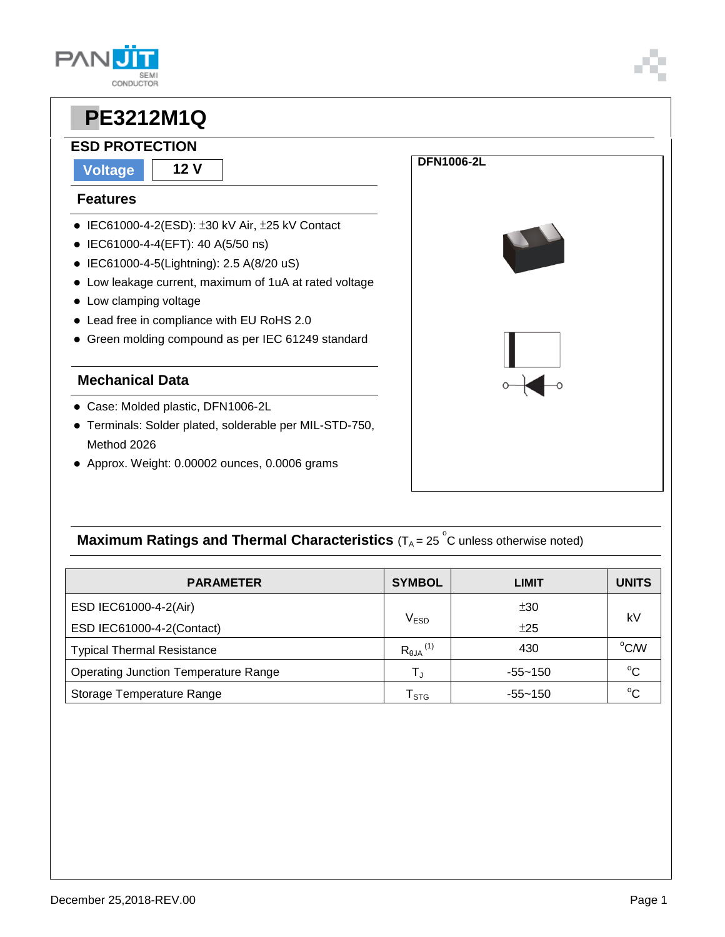## **ESD PROTECTION**

**CONDUCTOR** 

**Voltage 12 V**

**PAN** 

#### **Features**

- IEC61000-4-2(ESD): ±30 kV Air, ±25 kV Contact
- IEC61000-4-4(EFT): 40 A(5/50 ns)
- IEC61000-4-5(Lightning): 2.5 A(8/20 uS)
- Low leakage current, maximum of 1uA at rated voltage
- Low clamping voltage
- Lead free in compliance with EU RoHS 2.0
- Green molding compound as per IEC 61249 standard

### **Mechanical Data**

- Case: Molded plastic, DFN1006-2L
- Terminals: Solder plated, solderable per MIL-STD-750, Method 2026
- Approx. Weight: 0.00002 ounces, 0.0006 grams



### **Maximum Ratings and Thermal Characteristics** (T<sub>A</sub> = 25<sup>°</sup>C unless otherwise noted)

| <b>PARAMETER</b>                            | <b>SYMBOL</b>                  | <b>LIMIT</b> | <b>UNITS</b> |  |
|---------------------------------------------|--------------------------------|--------------|--------------|--|
| ESD IEC61000-4-2(Air)                       |                                | ±30          | kV           |  |
| ESD IEC61000-4-2(Contact)                   | V <sub>ESD</sub>               | ±25          |              |  |
| <b>Typical Thermal Resistance</b>           | $R_{\theta JA}$ <sup>(1)</sup> | 430          | °C/W         |  |
| <b>Operating Junction Temperature Range</b> | $\mathsf{T}_\mathsf{J}$        | -55~150      | $^{\circ}C$  |  |
| Storage Temperature Range                   | $\mathsf{T}_{\texttt{STG}}$    | $-55 - 150$  | $^{\circ}C$  |  |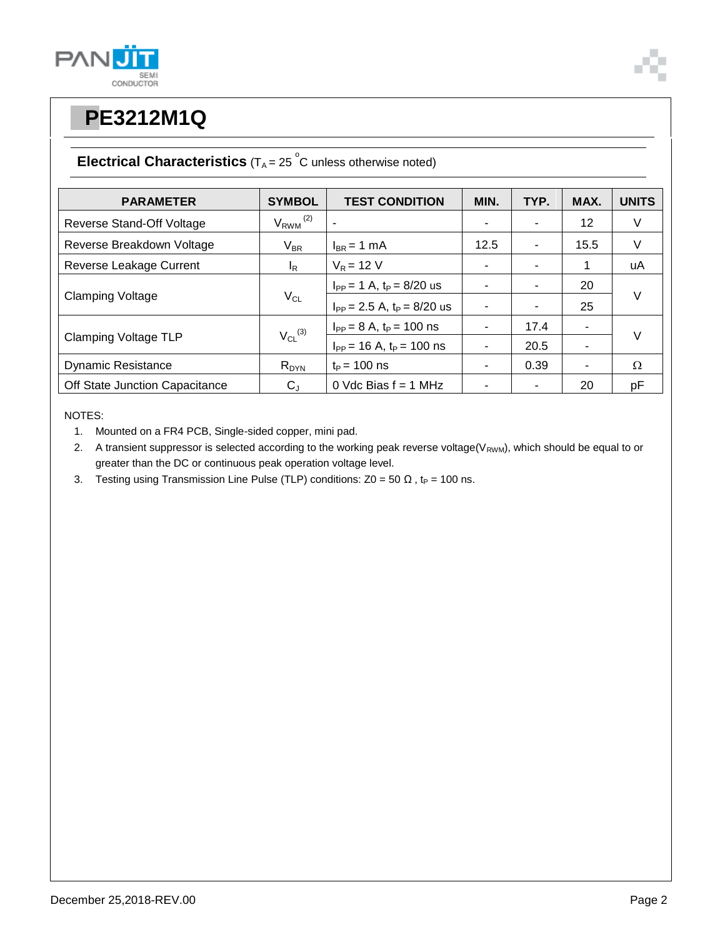



### **Electrical Characteristics**  $(T_A = 25 \degree C$  unless otherwise noted)

| <b>PARAMETER</b>               | <b>SYMBOL</b>            | <b>TEST CONDITION</b>             | MIN. | TYP. | MAX. | <b>UNITS</b> |
|--------------------------------|--------------------------|-----------------------------------|------|------|------|--------------|
| Reverse Stand-Off Voltage      | $V_{RWM}$ <sup>(2)</sup> |                                   |      |      | 12   | V            |
| Reverse Breakdown Voltage      | $V_{BR}$                 | $I_{BR}$ = 1 mA                   | 12.5 |      | 15.5 | V            |
| Reverse Leakage Current        | $I_R$                    | $V_R = 12 V$                      | ۰    |      | 1    | uA           |
| <b>Clamping Voltage</b>        | $V_{CL}$                 | $I_{PP} = 1 A$ , $t_P = 8/20$ us  |      |      | 20   | $\vee$       |
|                                |                          | $I_{PP}$ = 2.5 A, $t_P$ = 8/20 us |      |      | 25   |              |
| <b>Clamping Voltage TLP</b>    | $V_{CL}$ <sup>(3)</sup>  | $I_{PP} = 8 A$ , $t_P = 100$ ns   |      | 17.4 | ۰    | $\vee$       |
|                                |                          | $I_{PP}$ = 16 A, $t_P$ = 100 ns   |      | 20.5 | ۰    |              |
| <b>Dynamic Resistance</b>      | $R_{DYN}$                | $t_{\rm P}$ = 100 ns              | ٠    | 0.39 | ۰    | Ω            |
| Off State Junction Capacitance | $C_{J}$                  | 0 Vdc Bias $f = 1$ MHz            |      |      | 20   | pF           |

NOTES:

1. Mounted on a FR4 PCB, Single-sided copper, mini pad.

2. A transient suppressor is selected according to the working peak reverse voltage( $V_{RWM}$ ), which should be equal to or greater than the DC or continuous peak operation voltage level.

3. Testing using Transmission Line Pulse (TLP) conditions:  $Z0 = 50 \Omega$ , t<sub>P</sub> = 100 ns.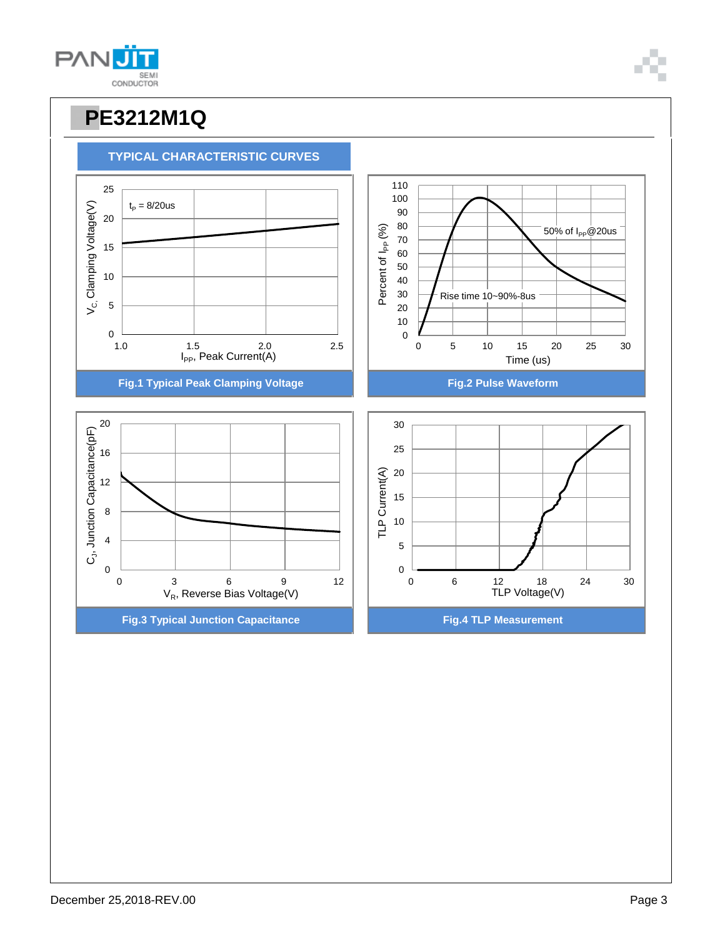

**TYPICAL CHARACTERISTIC CURVES**



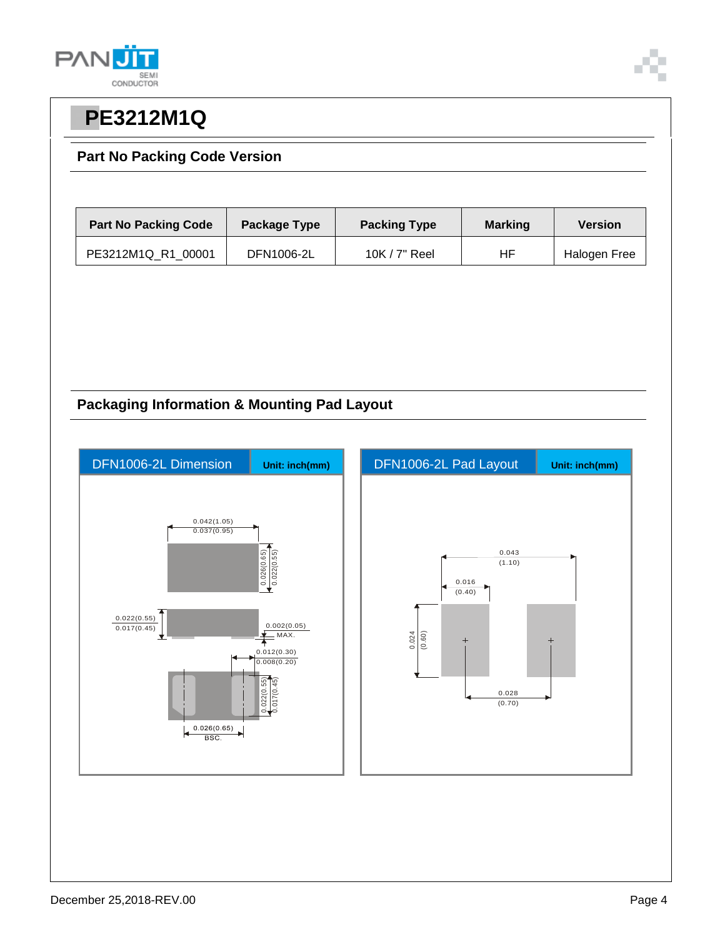



### **Part No Packing Code Version**

| <b>Part No Packing Code</b> | Package Type | <b>Packing Type</b> | <b>Marking</b> | <b>Version</b> |
|-----------------------------|--------------|---------------------|----------------|----------------|
| PE3212M1Q R1 00001          | DFN1006-2L   | 10K $/$ 7" Reel     | HF             | Halogen Free   |

### **Packaging Information & Mounting Pad Layout**